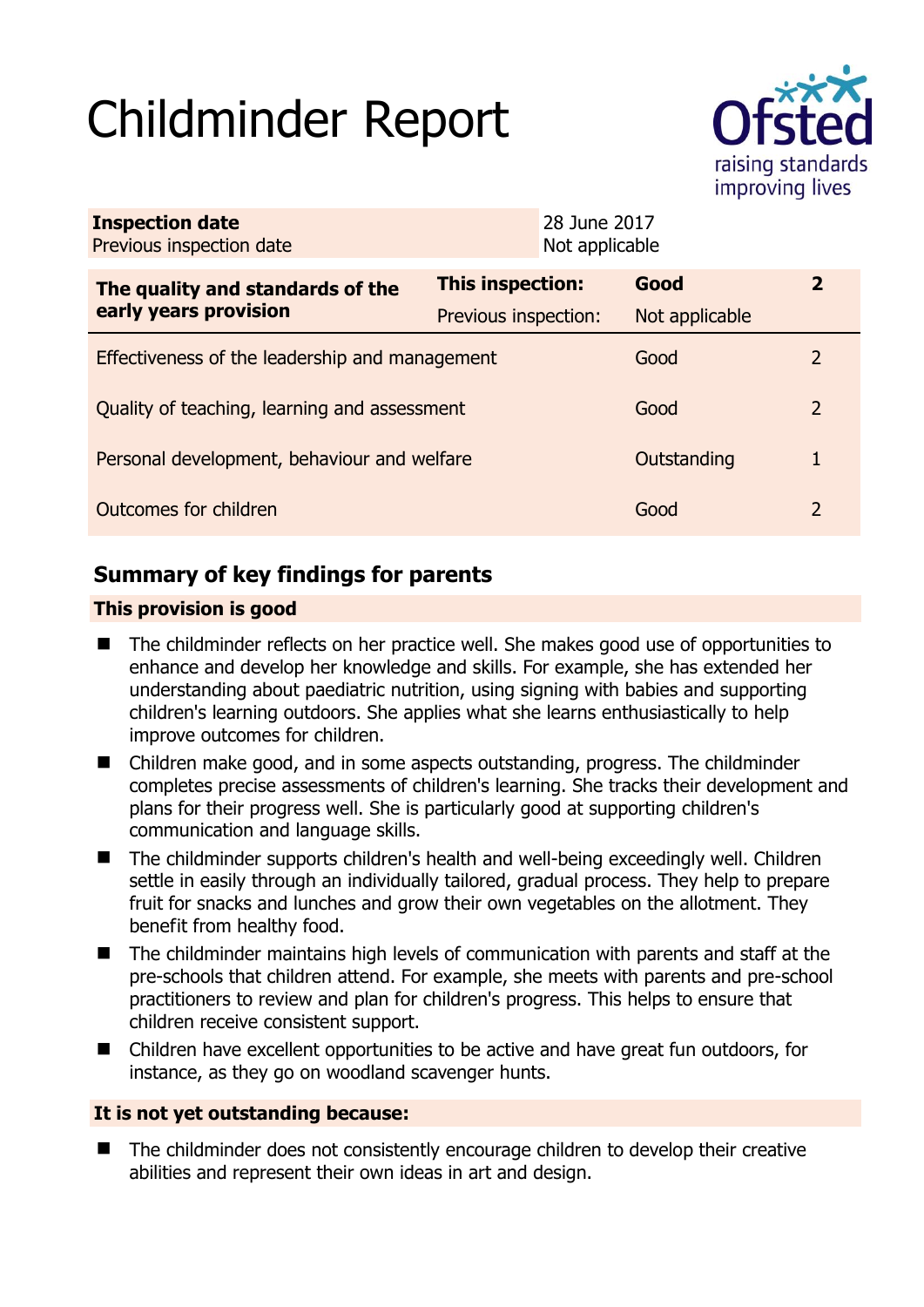# Childminder Report



| <b>Inspection date</b><br>Previous inspection date        |                      | 28 June 2017<br>Not applicable |                |               |
|-----------------------------------------------------------|----------------------|--------------------------------|----------------|---------------|
| The quality and standards of the<br>early years provision | This inspection:     |                                | Good           | $\mathbf{2}$  |
|                                                           | Previous inspection: |                                | Not applicable |               |
| Effectiveness of the leadership and management            |                      |                                | Good           | $\mathcal{L}$ |
| Quality of teaching, learning and assessment              |                      |                                | Good           | 2             |
| Personal development, behaviour and welfare               |                      |                                | Outstanding    | 1             |
| Outcomes for children                                     |                      |                                | Good           | 2             |

# **Summary of key findings for parents**

## **This provision is good**

- The childminder reflects on her practice well. She makes good use of opportunities to enhance and develop her knowledge and skills. For example, she has extended her understanding about paediatric nutrition, using signing with babies and supporting children's learning outdoors. She applies what she learns enthusiastically to help improve outcomes for children.
- Children make good, and in some aspects outstanding, progress. The childminder completes precise assessments of children's learning. She tracks their development and plans for their progress well. She is particularly good at supporting children's communication and language skills.
- The childminder supports children's health and well-being exceedingly well. Children settle in easily through an individually tailored, gradual process. They help to prepare fruit for snacks and lunches and grow their own vegetables on the allotment. They benefit from healthy food.
- The childminder maintains high levels of communication with parents and staff at the pre-schools that children attend. For example, she meets with parents and pre-school practitioners to review and plan for children's progress. This helps to ensure that children receive consistent support.
- Children have excellent opportunities to be active and have great fun outdoors, for instance, as they go on woodland scavenger hunts.

## **It is not yet outstanding because:**

■ The childminder does not consistently encourage children to develop their creative abilities and represent their own ideas in art and design.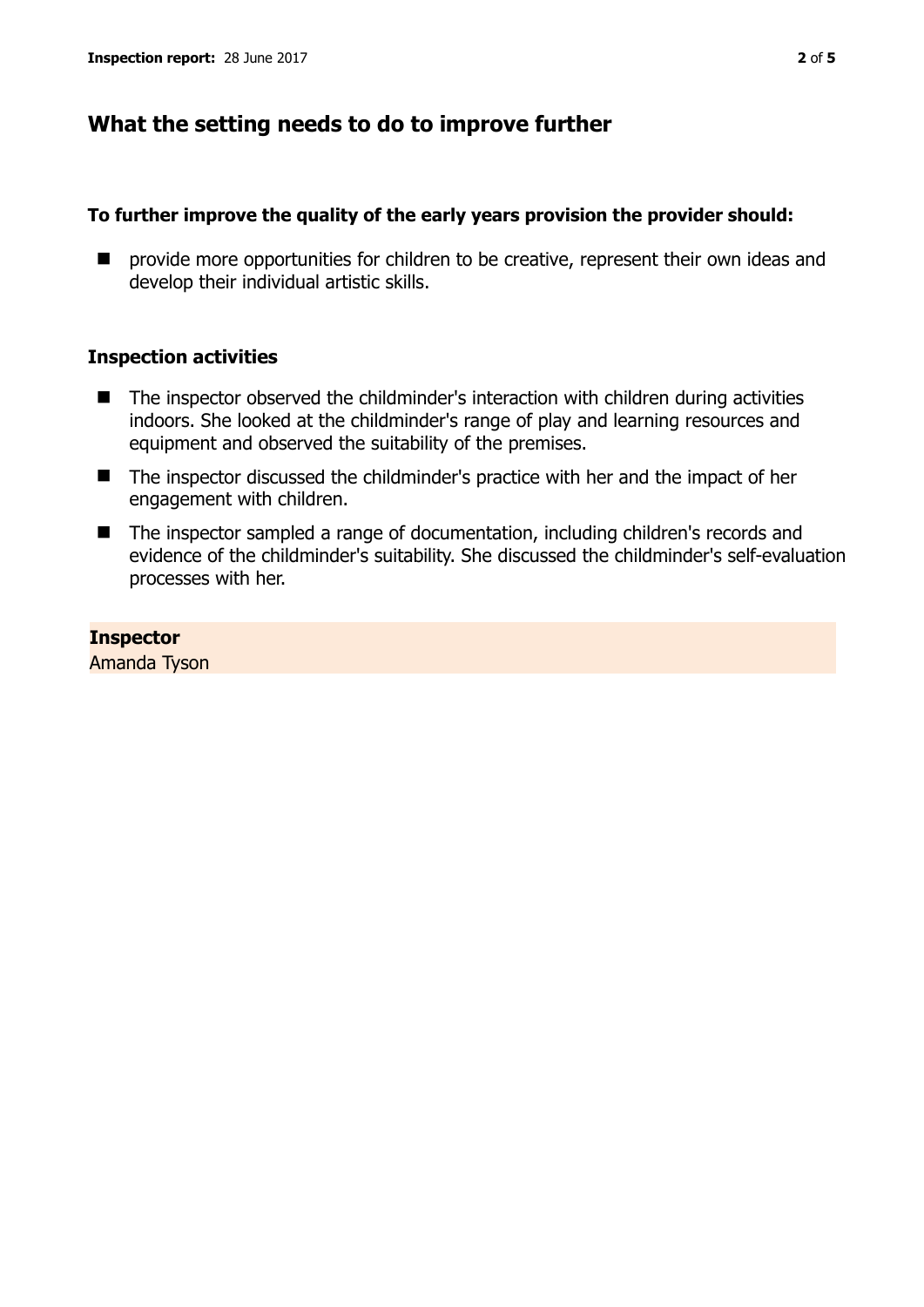## **What the setting needs to do to improve further**

#### **To further improve the quality of the early years provision the provider should:**

**E** provide more opportunities for children to be creative, represent their own ideas and develop their individual artistic skills.

#### **Inspection activities**

- The inspector observed the childminder's interaction with children during activities indoors. She looked at the childminder's range of play and learning resources and equipment and observed the suitability of the premises.
- The inspector discussed the childminder's practice with her and the impact of her engagement with children.
- The inspector sampled a range of documentation, including children's records and evidence of the childminder's suitability. She discussed the childminder's self-evaluation processes with her.

**Inspector**  Amanda Tyson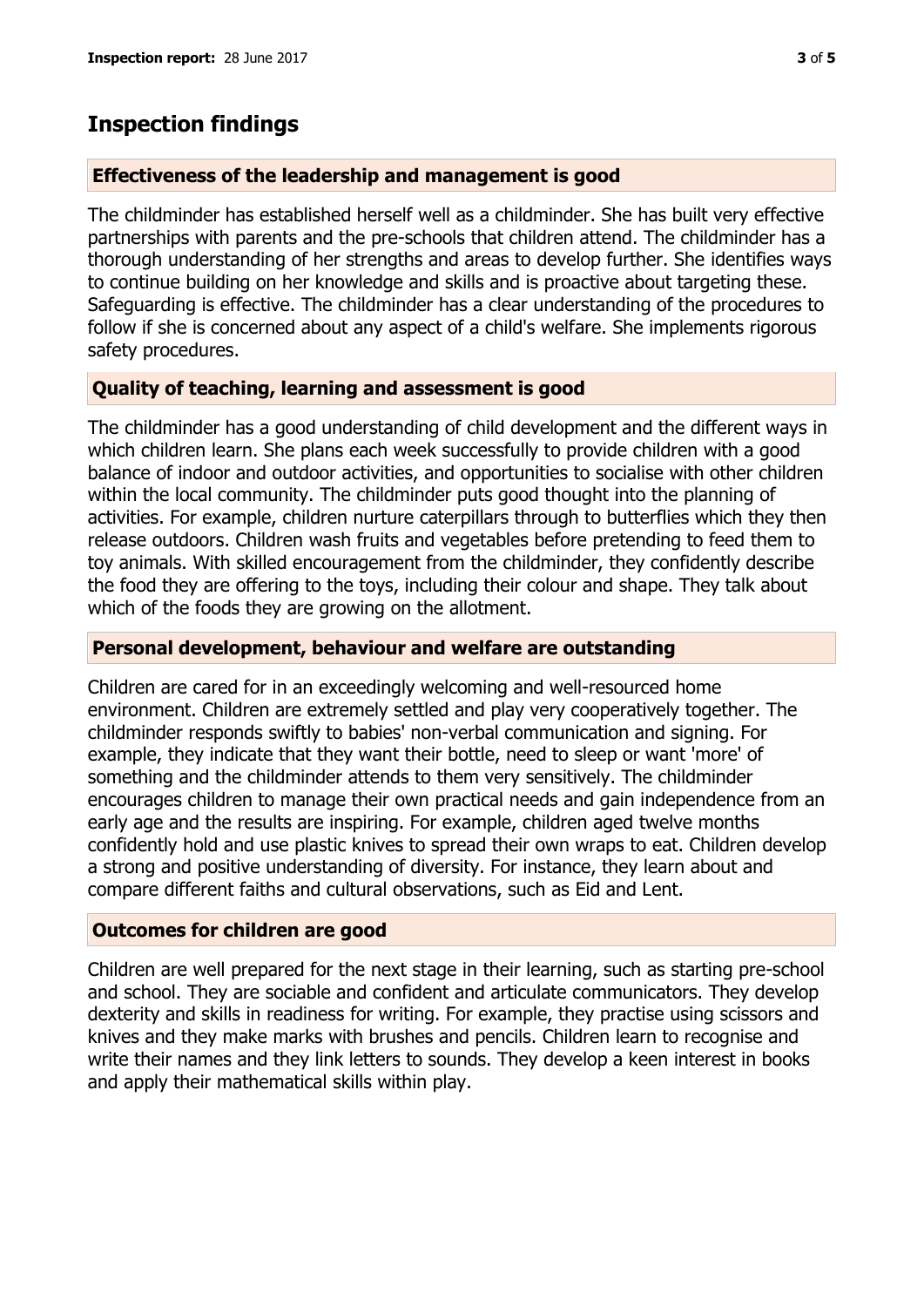## **Inspection findings**

## **Effectiveness of the leadership and management is good**

The childminder has established herself well as a childminder. She has built very effective partnerships with parents and the pre-schools that children attend. The childminder has a thorough understanding of her strengths and areas to develop further. She identifies ways to continue building on her knowledge and skills and is proactive about targeting these. Safeguarding is effective. The childminder has a clear understanding of the procedures to follow if she is concerned about any aspect of a child's welfare. She implements rigorous safety procedures.

## **Quality of teaching, learning and assessment is good**

The childminder has a good understanding of child development and the different ways in which children learn. She plans each week successfully to provide children with a good balance of indoor and outdoor activities, and opportunities to socialise with other children within the local community. The childminder puts good thought into the planning of activities. For example, children nurture caterpillars through to butterflies which they then release outdoors. Children wash fruits and vegetables before pretending to feed them to toy animals. With skilled encouragement from the childminder, they confidently describe the food they are offering to the toys, including their colour and shape. They talk about which of the foods they are growing on the allotment.

## **Personal development, behaviour and welfare are outstanding**

Children are cared for in an exceedingly welcoming and well-resourced home environment. Children are extremely settled and play very cooperatively together. The childminder responds swiftly to babies' non-verbal communication and signing. For example, they indicate that they want their bottle, need to sleep or want 'more' of something and the childminder attends to them very sensitively. The childminder encourages children to manage their own practical needs and gain independence from an early age and the results are inspiring. For example, children aged twelve months confidently hold and use plastic knives to spread their own wraps to eat. Children develop a strong and positive understanding of diversity. For instance, they learn about and compare different faiths and cultural observations, such as Eid and Lent.

## **Outcomes for children are good**

Children are well prepared for the next stage in their learning, such as starting pre-school and school. They are sociable and confident and articulate communicators. They develop dexterity and skills in readiness for writing. For example, they practise using scissors and knives and they make marks with brushes and pencils. Children learn to recognise and write their names and they link letters to sounds. They develop a keen interest in books and apply their mathematical skills within play.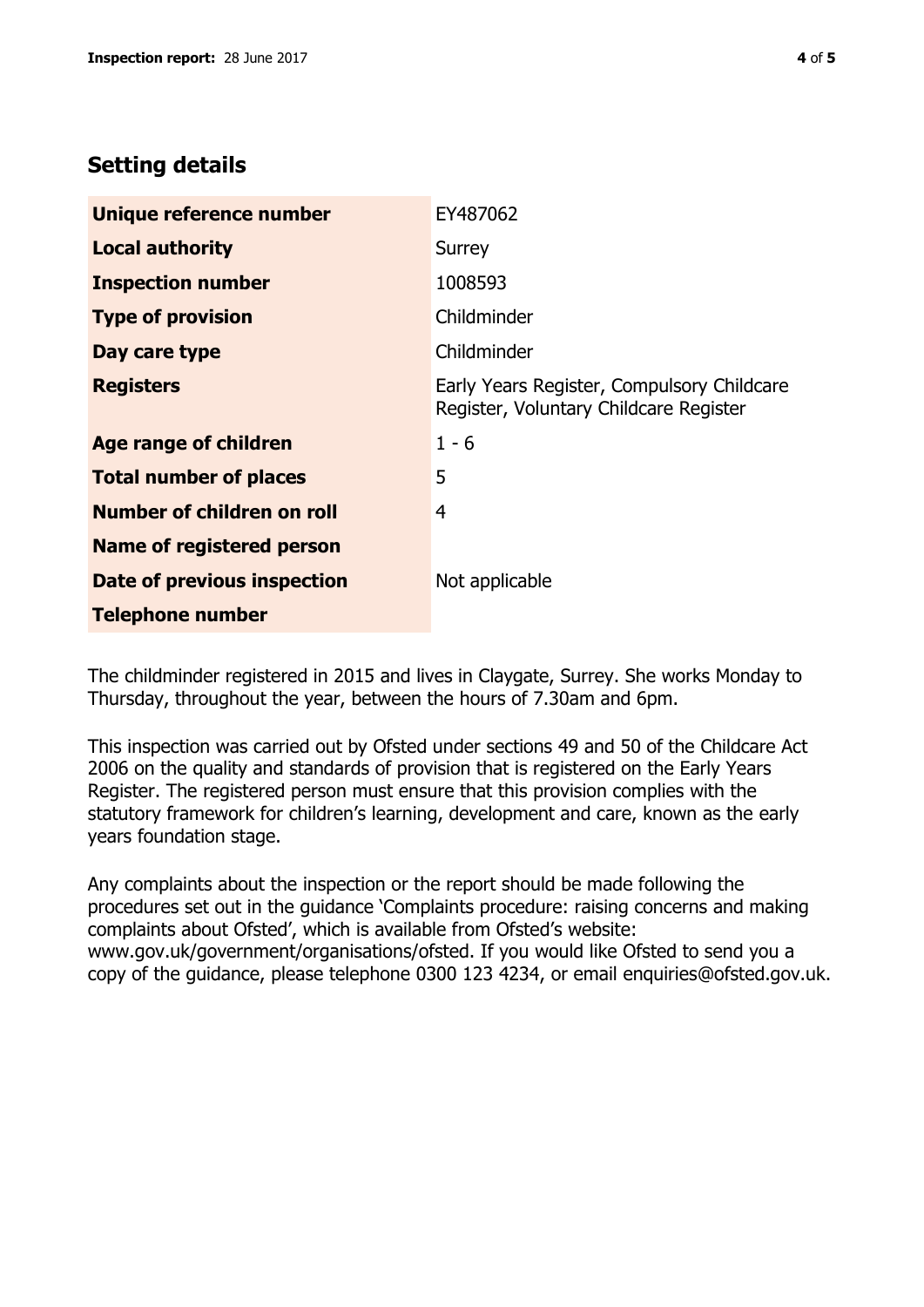## **Setting details**

| Unique reference number          | EY487062                                                                             |  |
|----------------------------------|--------------------------------------------------------------------------------------|--|
| <b>Local authority</b>           | Surrey                                                                               |  |
| <b>Inspection number</b>         | 1008593                                                                              |  |
| <b>Type of provision</b>         | Childminder                                                                          |  |
| Day care type                    | Childminder                                                                          |  |
| <b>Registers</b>                 | Early Years Register, Compulsory Childcare<br>Register, Voluntary Childcare Register |  |
| <b>Age range of children</b>     | $1 - 6$                                                                              |  |
| <b>Total number of places</b>    | 5                                                                                    |  |
| Number of children on roll       | 4                                                                                    |  |
| <b>Name of registered person</b> |                                                                                      |  |
| Date of previous inspection      | Not applicable                                                                       |  |
| <b>Telephone number</b>          |                                                                                      |  |

The childminder registered in 2015 and lives in Claygate, Surrey. She works Monday to Thursday, throughout the year, between the hours of 7.30am and 6pm.

This inspection was carried out by Ofsted under sections 49 and 50 of the Childcare Act 2006 on the quality and standards of provision that is registered on the Early Years Register. The registered person must ensure that this provision complies with the statutory framework for children's learning, development and care, known as the early years foundation stage.

Any complaints about the inspection or the report should be made following the procedures set out in the guidance 'Complaints procedure: raising concerns and making complaints about Ofsted', which is available from Ofsted's website: www.gov.uk/government/organisations/ofsted. If you would like Ofsted to send you a copy of the guidance, please telephone 0300 123 4234, or email enquiries@ofsted.gov.uk.